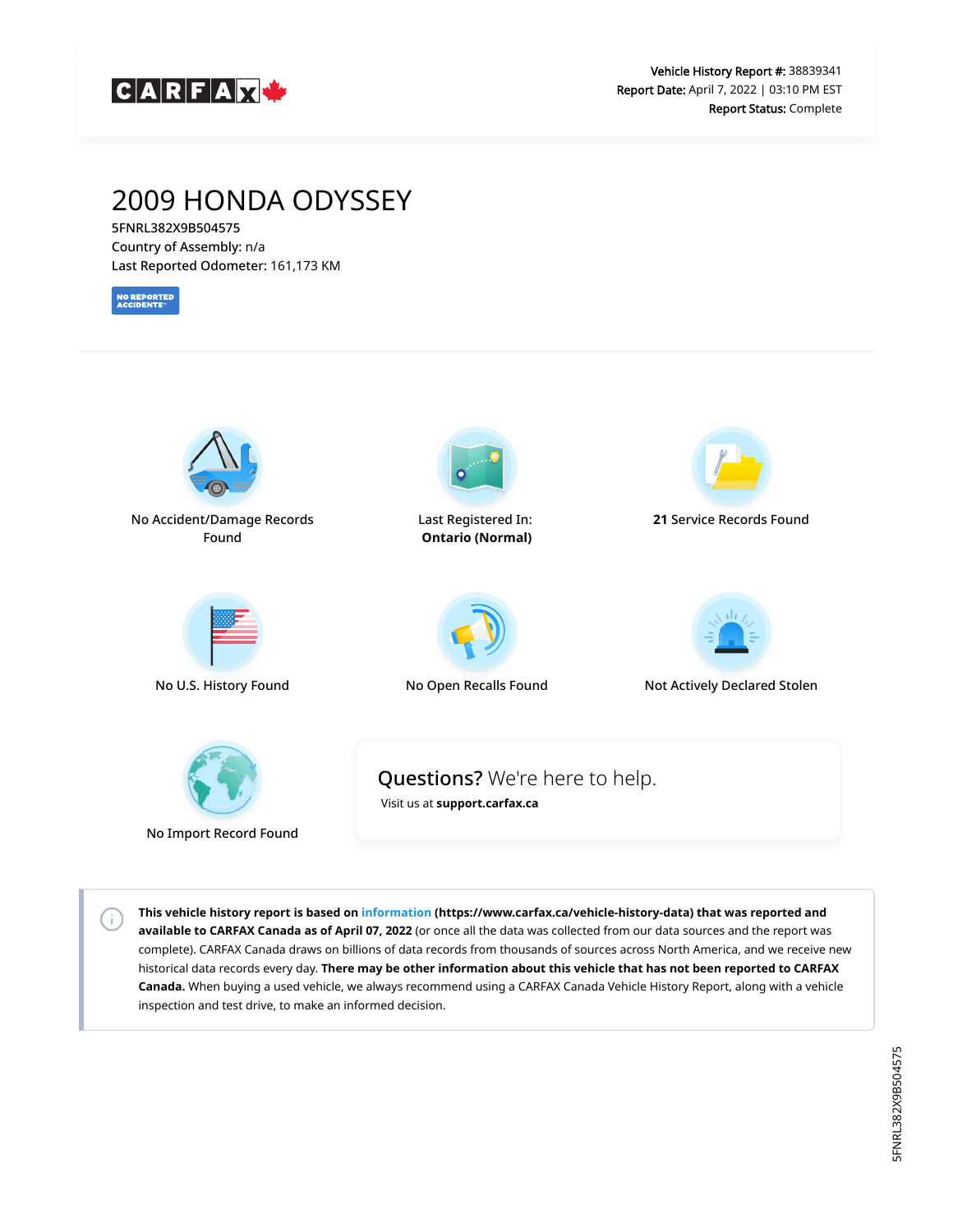

# 2009 HONDA ODYSSEY

5FNRL382X9B504575 Country of Assembly: n/a Last Reported Odometer: 161,173 KM

**NO REPORTED**<br>ACCIDENTS



No Import Record Found

G)

**This vehicle history report is based on [information](https://www.carfax.ca/vehicle-history-data) (https://www.carfax.ca/vehicle-history-data) that was reported and available to CARFAX Canada as of April 07, 2022** (or once all the data was collected from our data sources and the report was complete). CARFAX Canada draws on billions of data records from thousands of sources across North America, and we receive new historical data records every day. **There may be other information about this vehicle that has not been reported to CARFAX Canada.** When buying a used vehicle, we always recommend using a CARFAX Canada Vehicle History Report, along with a vehicle inspection and test drive, to make an informed decision.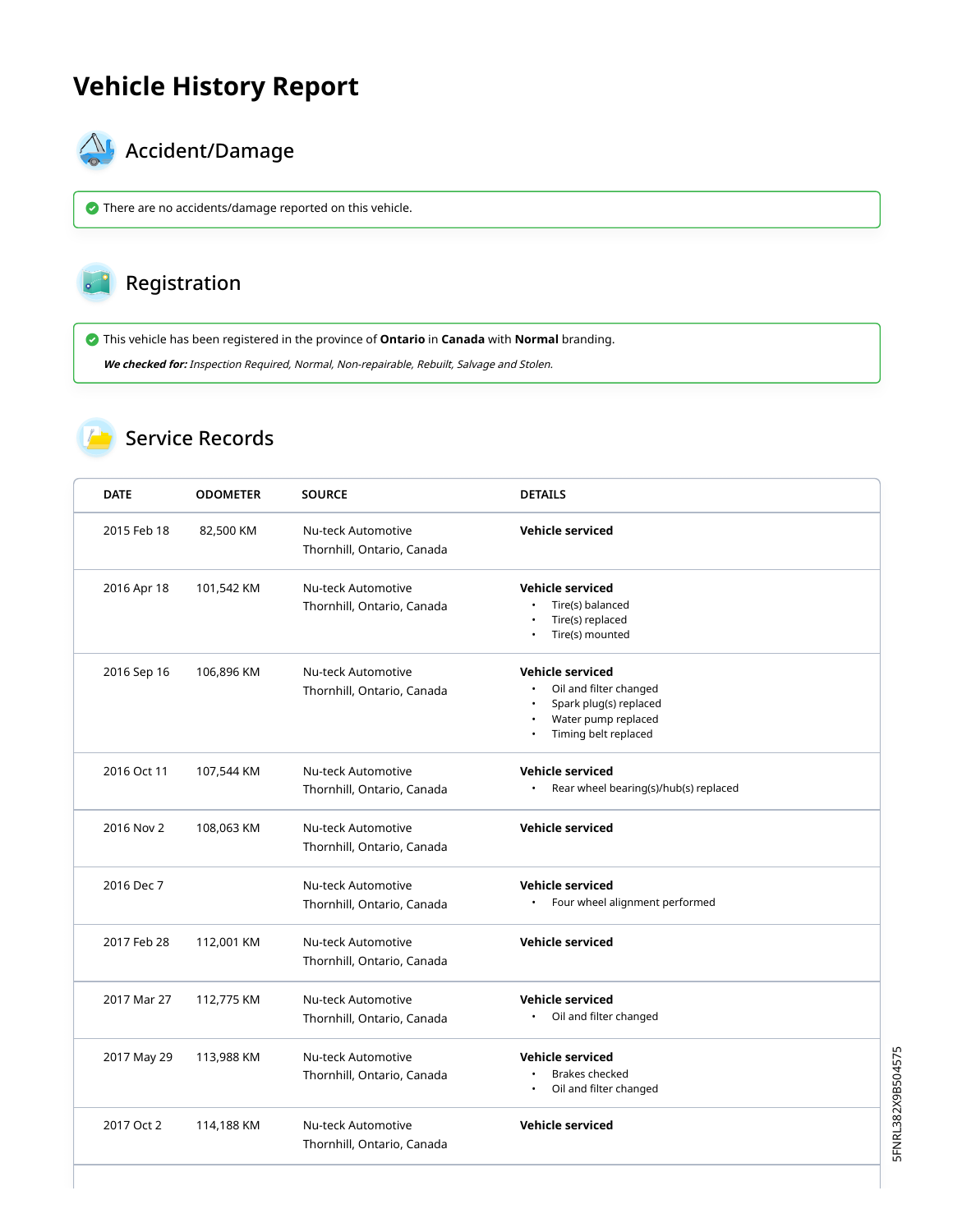# **Vehicle History Report**



# $\bigotimes$  Accident/Damage

There are no accidents/damage reported on this vehicle.

#### Registration  $\circ$   $\circ$

This vehicle has been registered in the province of **Ontario** in **Canada** with **Normal** branding.

**We checked for:** Inspection Required, Normal, Non-repairable, Rebuilt, Salvage and Stolen.

### Service Records

| <b>DATE</b> | <b>ODOMETER</b> | <b>SOURCE</b>                                           | <b>DETAILS</b>                                                                                                             |
|-------------|-----------------|---------------------------------------------------------|----------------------------------------------------------------------------------------------------------------------------|
| 2015 Feb 18 | 82,500 KM       | Nu-teck Automotive<br>Thornhill, Ontario, Canada        | <b>Vehicle serviced</b>                                                                                                    |
| 2016 Apr 18 | 101,542 KM      | Nu-teck Automotive<br>Thornhill, Ontario, Canada        | <b>Vehicle serviced</b><br>Tire(s) balanced<br>Tire(s) replaced<br>Tire(s) mounted                                         |
| 2016 Sep 16 | 106,896 KM      | Nu-teck Automotive<br>Thornhill, Ontario, Canada        | <b>Vehicle serviced</b><br>Oil and filter changed<br>Spark plug(s) replaced<br>Water pump replaced<br>Timing belt replaced |
| 2016 Oct 11 | 107,544 KM      | Nu-teck Automotive<br>Thornhill, Ontario, Canada        | <b>Vehicle serviced</b><br>Rear wheel bearing(s)/hub(s) replaced                                                           |
| 2016 Nov 2  | 108,063 KM      | Nu-teck Automotive<br>Thornhill, Ontario, Canada        | <b>Vehicle serviced</b>                                                                                                    |
| 2016 Dec 7  |                 | <b>Nu-teck Automotive</b><br>Thornhill, Ontario, Canada | <b>Vehicle serviced</b><br>Four wheel alignment performed                                                                  |
| 2017 Feb 28 | 112,001 KM      | <b>Nu-teck Automotive</b><br>Thornhill, Ontario, Canada | <b>Vehicle serviced</b>                                                                                                    |
| 2017 Mar 27 | 112,775 KM      | Nu-teck Automotive<br>Thornhill, Ontario, Canada        | <b>Vehicle serviced</b><br>Oil and filter changed                                                                          |
| 2017 May 29 | 113,988 KM      | Nu-teck Automotive<br>Thornhill, Ontario, Canada        | <b>Vehicle serviced</b><br><b>Brakes checked</b><br>Oil and filter changed                                                 |
| 2017 Oct 2  | 114,188 KM      | <b>Nu-teck Automotive</b><br>Thornhill, Ontario, Canada | <b>Vehicle serviced</b>                                                                                                    |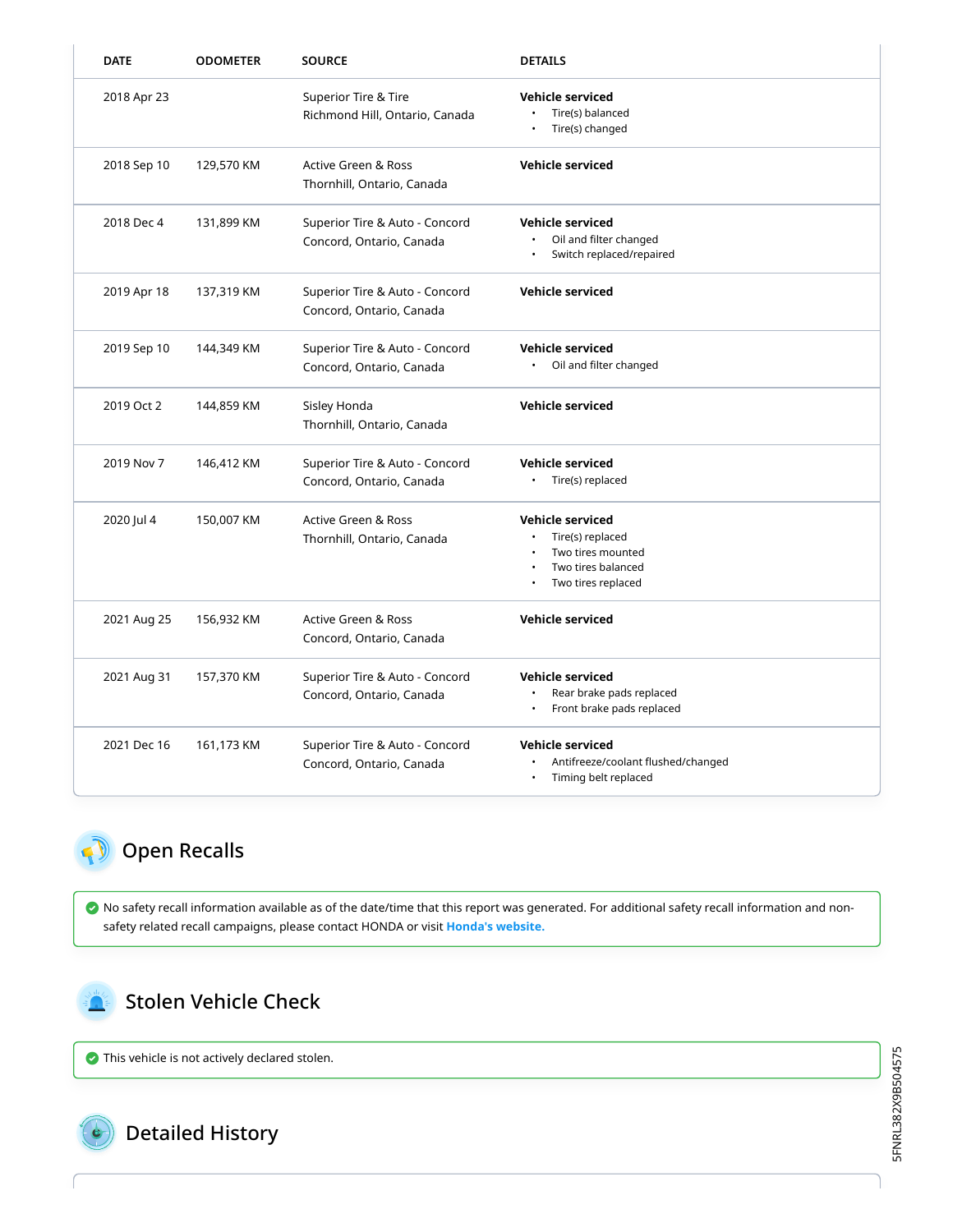| <b>DATE</b> | <b>ODOMETER</b> | <b>SOURCE</b>                                                | <b>DETAILS</b>                                                                                               |
|-------------|-----------------|--------------------------------------------------------------|--------------------------------------------------------------------------------------------------------------|
| 2018 Apr 23 |                 | Superior Tire & Tire<br>Richmond Hill, Ontario, Canada       | <b>Vehicle serviced</b><br>Tire(s) balanced<br>Tire(s) changed                                               |
| 2018 Sep 10 | 129,570 KM      | Active Green & Ross<br>Thornhill, Ontario, Canada            | Vehicle serviced                                                                                             |
| 2018 Dec 4  | 131,899 KM      | Superior Tire & Auto - Concord<br>Concord, Ontario, Canada   | <b>Vehicle serviced</b><br>Oil and filter changed<br>Switch replaced/repaired                                |
| 2019 Apr 18 | 137,319 KM      | Superior Tire & Auto - Concord<br>Concord, Ontario, Canada   | <b>Vehicle serviced</b>                                                                                      |
| 2019 Sep 10 | 144,349 KM      | Superior Tire & Auto - Concord<br>Concord, Ontario, Canada   | <b>Vehicle serviced</b><br>Oil and filter changed                                                            |
| 2019 Oct 2  | 144,859 KM      | Sisley Honda<br>Thornhill, Ontario, Canada                   | Vehicle serviced                                                                                             |
| 2019 Nov 7  | 146,412 KM      | Superior Tire & Auto - Concord<br>Concord, Ontario, Canada   | <b>Vehicle serviced</b><br>Tire(s) replaced                                                                  |
| 2020 Jul 4  | 150,007 KM      | <b>Active Green &amp; Ross</b><br>Thornhill, Ontario, Canada | <b>Vehicle serviced</b><br>Tire(s) replaced<br>Two tires mounted<br>Two tires balanced<br>Two tires replaced |
| 2021 Aug 25 | 156,932 KM      | <b>Active Green &amp; Ross</b><br>Concord, Ontario, Canada   | <b>Vehicle serviced</b>                                                                                      |
| 2021 Aug 31 | 157,370 KM      | Superior Tire & Auto - Concord<br>Concord, Ontario, Canada   | <b>Vehicle serviced</b><br>Rear brake pads replaced<br>Front brake pads replaced                             |
| 2021 Dec 16 | 161,173 KM      | Superior Tire & Auto - Concord<br>Concord, Ontario, Canada   | Vehicle serviced<br>Antifreeze/coolant flushed/changed<br>Timing belt replaced                               |

## <span id="page-2-0"></span>Open Recalls

 No safety recall information available as of the date/time that this report was generated. For additional safety recall information and nonsafety related recall campaigns, please contact HONDA or visit **[Honda's website.](http://www.honda.ca/recalls)**

### <span id="page-2-1"></span>Stolen Vehicle Check

This vehicle is not actively declared stolen.



Detailed History

5FNRL382X9B504575 5FNRL382X9B504575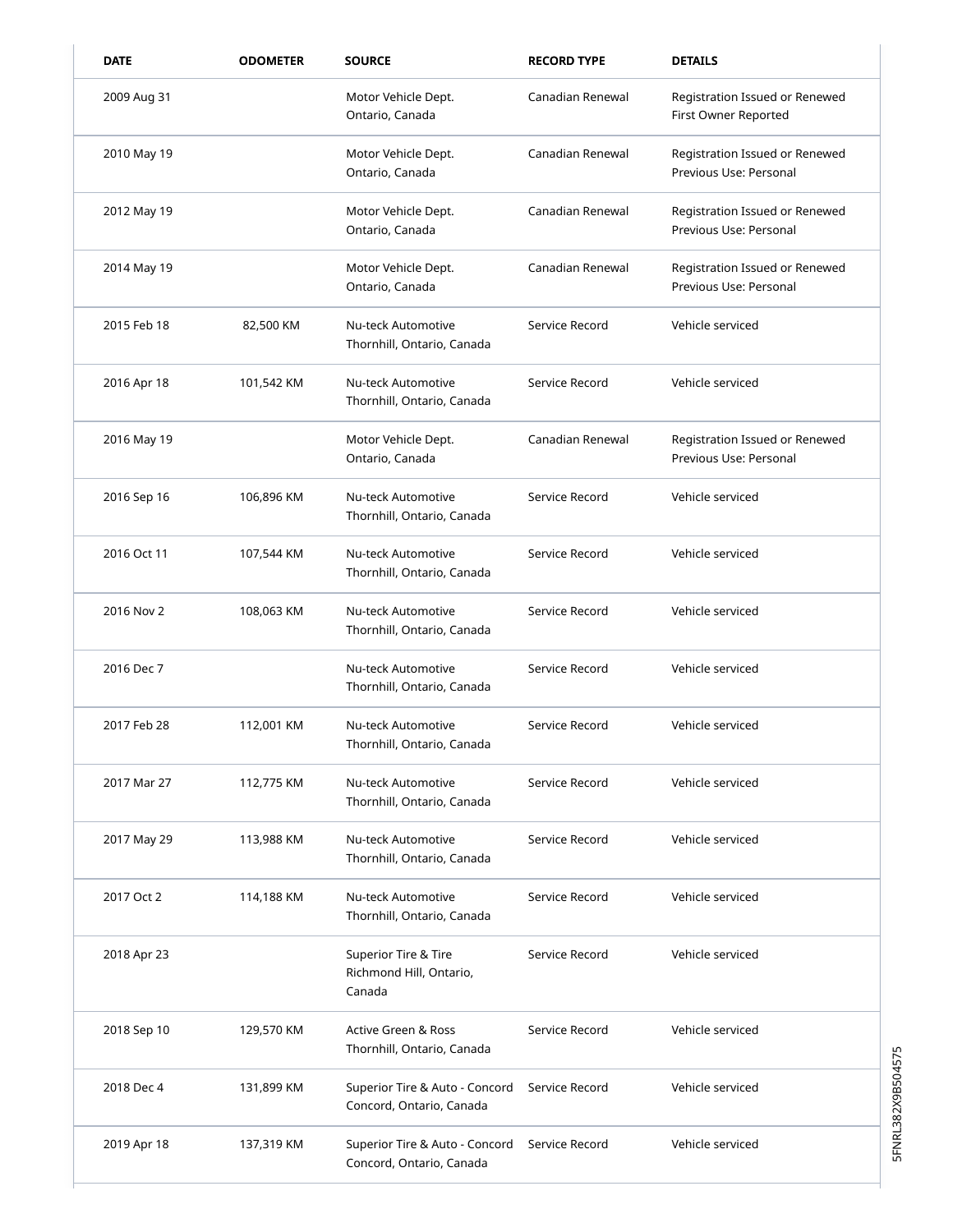| <b>DATE</b> | <b>ODOMETER</b> | <b>SOURCE</b>                                              | <b>RECORD TYPE</b> | <b>DETAILS</b>                                           |
|-------------|-----------------|------------------------------------------------------------|--------------------|----------------------------------------------------------|
| 2009 Aug 31 |                 | Motor Vehicle Dept.<br>Ontario, Canada                     | Canadian Renewal   | Registration Issued or Renewed<br>First Owner Reported   |
| 2010 May 19 |                 | Motor Vehicle Dept.<br>Ontario, Canada                     | Canadian Renewal   | Registration Issued or Renewed<br>Previous Use: Personal |
| 2012 May 19 |                 | Motor Vehicle Dept.<br>Ontario, Canada                     | Canadian Renewal   | Registration Issued or Renewed<br>Previous Use: Personal |
| 2014 May 19 |                 | Motor Vehicle Dept.<br>Ontario, Canada                     | Canadian Renewal   | Registration Issued or Renewed<br>Previous Use: Personal |
| 2015 Feb 18 | 82,500 KM       | Nu-teck Automotive<br>Thornhill, Ontario, Canada           | Service Record     | Vehicle serviced                                         |
| 2016 Apr 18 | 101,542 KM      | Nu-teck Automotive<br>Thornhill, Ontario, Canada           | Service Record     | Vehicle serviced                                         |
| 2016 May 19 |                 | Motor Vehicle Dept.<br>Ontario, Canada                     | Canadian Renewal   | Registration Issued or Renewed<br>Previous Use: Personal |
| 2016 Sep 16 | 106,896 KM      | Nu-teck Automotive<br>Thornhill, Ontario, Canada           | Service Record     | Vehicle serviced                                         |
| 2016 Oct 11 | 107,544 KM      | Nu-teck Automotive<br>Thornhill, Ontario, Canada           | Service Record     | Vehicle serviced                                         |
| 2016 Nov 2  | 108,063 KM      | Nu-teck Automotive<br>Thornhill, Ontario, Canada           | Service Record     | Vehicle serviced                                         |
| 2016 Dec 7  |                 | Nu-teck Automotive<br>Thornhill, Ontario, Canada           | Service Record     | Vehicle serviced                                         |
| 2017 Feb 28 | 112,001 KM      | Nu-teck Automotive<br>Thornhill, Ontario, Canada           | Service Record     | Vehicle serviced                                         |
| 2017 Mar 27 | 112,775 KM      | Nu-teck Automotive<br>Thornhill, Ontario, Canada           | Service Record     | Vehicle serviced                                         |
| 2017 May 29 | 113,988 KM      | Nu-teck Automotive<br>Thornhill, Ontario, Canada           | Service Record     | Vehicle serviced                                         |
| 2017 Oct 2  | 114,188 KM      | Nu-teck Automotive<br>Thornhill, Ontario, Canada           | Service Record     | Vehicle serviced                                         |
| 2018 Apr 23 |                 | Superior Tire & Tire<br>Richmond Hill, Ontario,<br>Canada  | Service Record     | Vehicle serviced                                         |
| 2018 Sep 10 | 129,570 KM      | Active Green & Ross<br>Thornhill, Ontario, Canada          | Service Record     | Vehicle serviced                                         |
| 2018 Dec 4  | 131,899 KM      | Superior Tire & Auto - Concord<br>Concord, Ontario, Canada | Service Record     | Vehicle serviced                                         |
| 2019 Apr 18 | 137,319 KM      | Superior Tire & Auto - Concord<br>Concord, Ontario, Canada | Service Record     | Vehicle serviced                                         |